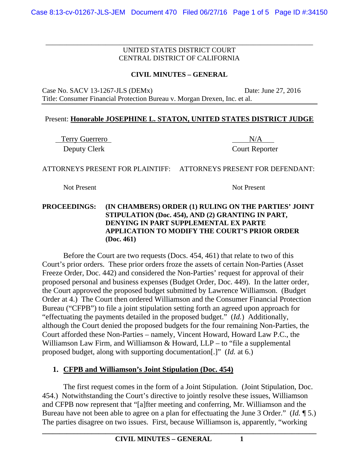\_\_\_\_\_\_\_\_\_\_\_\_\_\_\_\_\_\_\_\_\_\_\_\_\_\_\_\_\_\_\_\_\_\_\_\_\_\_\_\_\_\_\_\_\_\_\_\_\_\_\_\_\_\_\_\_\_\_\_\_\_\_\_\_\_\_\_\_\_\_\_\_\_\_\_\_

### **CIVIL MINUTES – GENERAL**

Case No. SACV 13-1267-JLS (DEMx) Date: June 27, 2016

Title: Consumer Financial Protection Bureau v. Morgan Drexen, Inc. et al.

### Present: **Honorable JOSEPHINE L. STATON, UNITED STATES DISTRICT JUDGE**

Terry Guerrero N/A Deputy Clerk Court Reporter

ATTORNEYS PRESENT FOR PLAINTIFF: ATTORNEYS PRESENT FOR DEFENDANT:

Not Present Not Present

#### **PROCEEDINGS: (IN CHAMBERS) ORDER (1) RULING ON THE PARTIES' JOINT STIPULATION (Doc. 454), AND (2) GRANTING IN PART, DENYING IN PART SUPPLEMENTAL EX PARTE APPLICATION TO MODIFY THE COURT'S PRIOR ORDER (Doc. 461)**

Before the Court are two requests (Docs. 454, 461) that relate to two of this Court's prior orders. These prior orders froze the assets of certain Non-Parties (Asset Freeze Order, Doc. 442) and considered the Non-Parties' request for approval of their proposed personal and business expenses (Budget Order, Doc. 449). In the latter order, the Court approved the proposed budget submitted by Lawrence Williamson. (Budget Order at 4.) The Court then ordered Williamson and the Consumer Financial Protection Bureau ("CFPB") to file a joint stipulation setting forth an agreed upon approach for "effectuating the payments detailed in the proposed budget." (*Id.*) Additionally, although the Court denied the proposed budgets for the four remaining Non-Parties, the Court afforded these Non-Parties – namely, Vincent Howard, Howard Law P.C., the Williamson Law Firm, and Williamson & Howard, LLP – to "file a supplemental proposed budget, along with supporting documentation[.]" (*Id.* at 6.)

# **1. CFPB and Williamson's Joint Stipulation (Doc. 454)**

 The first request comes in the form of a Joint Stipulation. (Joint Stipulation, Doc. 454.) Notwithstanding the Court's directive to jointly resolve these issues, Williamson and CFPB now represent that "[a]fter meeting and conferring, Mr. Williamson and the Bureau have not been able to agree on a plan for effectuating the June 3 Order." (*Id.* ¶ 5.) The parties disagree on two issues. First, because Williamson is, apparently, "working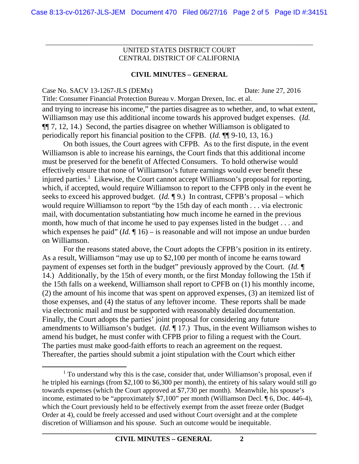\_\_\_\_\_\_\_\_\_\_\_\_\_\_\_\_\_\_\_\_\_\_\_\_\_\_\_\_\_\_\_\_\_\_\_\_\_\_\_\_\_\_\_\_\_\_\_\_\_\_\_\_\_\_\_\_\_\_\_\_\_\_\_\_\_\_\_\_\_\_\_\_\_\_\_\_

#### **CIVIL MINUTES – GENERAL**

Case No. SACV 13-1267-JLS (DEMx) Date: June 27, 2016 Title: Consumer Financial Protection Bureau v. Morgan Drexen, Inc. et al.

and trying to increase his income," the parties disagree as to whether, and, to what extent, Williamson may use this additional income towards his approved budget expenses. (*Id.* ¶¶ 7, 12, 14.) Second, the parties disagree on whether Williamson is obligated to periodically report his financial position to the CFPB. (*Id.* ¶¶ 9-10, 13, 16.)

On both issues, the Court agrees with CFPB. As to the first dispute, in the event Williamson is able to increase his earnings, the Court finds that this additional income must be preserved for the benefit of Affected Consumers. To hold otherwise would effectively ensure that none of Williamson's future earnings would ever benefit these injured parties.<sup>1</sup> Likewise, the Court cannot accept Williamson's proposal for reporting, which, if accepted, would require Williamson to report to the CFPB only in the event he seeks to exceed his approved budget. (*Id.* ¶ 9.) In contrast, CFPB's proposal – which would require Williamson to report "by the 15th day of each month . . . via electronic mail, with documentation substantiating how much income he earned in the previous month, how much of that income he used to pay expenses listed in the budget . . . and which expenses he paid" (*Id.*  $\P$  16) – is reasonable and will not impose an undue burden on Williamson.

For the reasons stated above, the Court adopts the CFPB's position in its entirety. As a result, Williamson "may use up to \$2,100 per month of income he earns toward payment of expenses set forth in the budget" previously approved by the Court. (*Id.* ¶ 14.) Additionally, by the 15th of every month, or the first Monday following the 15th if the 15th falls on a weekend, Williamson shall report to CPFB on (1) his monthly income, (2) the amount of his income that was spent on approved expenses, (3) an itemized list of those expenses, and (4) the status of any leftover income. These reports shall be made via electronic mail and must be supported with reasonably detailed documentation. Finally, the Court adopts the parties' joint proposal for considering any future amendments to Williamson's budget. (*Id.* ¶ 17.) Thus, in the event Williamson wishes to amend his budget, he must confer with CFPB prior to filing a request with the Court. The parties must make good-faith efforts to reach an agreement on the request. Thereafter, the parties should submit a joint stipulation with the Court which either

 $\overline{\phantom{a}}$  $<sup>1</sup>$  To understand why this is the case, consider that, under Williamson's proposal, even if</sup> he tripled his earnings (from \$2,100 to \$6,300 per month), the entirety of his salary would still go towards expenses (which the Court approved at \$7,730 per month). Meanwhile, his spouse's income, estimated to be "approximately \$7,100" per month (Williamson Decl. ¶ 6, Doc. 446-4), which the Court previously held to be effectively exempt from the asset freeze order (Budget Order at 4), could be freely accessed and used without Court oversight and at the complete discretion of Williamson and his spouse. Such an outcome would be inequitable.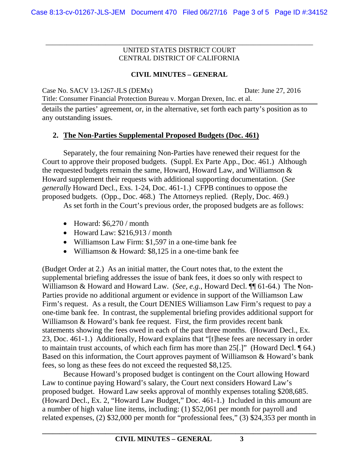\_\_\_\_\_\_\_\_\_\_\_\_\_\_\_\_\_\_\_\_\_\_\_\_\_\_\_\_\_\_\_\_\_\_\_\_\_\_\_\_\_\_\_\_\_\_\_\_\_\_\_\_\_\_\_\_\_\_\_\_\_\_\_\_\_\_\_\_\_\_\_\_\_\_\_\_

## **CIVIL MINUTES – GENERAL**

Case No. SACV 13-1267-JLS (DEMx) Date: June 27, 2016

details the parties' agreement, or, in the alternative, set forth each party's position as to any outstanding issues.

# **2. The Non-Parties Supplemental Proposed Budgets (Doc. 461)**

Title: Consumer Financial Protection Bureau v. Morgan Drexen, Inc. et al.

Separately, the four remaining Non-Parties have renewed their request for the Court to approve their proposed budgets. (Suppl. Ex Parte App., Doc. 461.) Although the requested budgets remain the same, Howard, Howard Law, and Williamson & Howard supplement their requests with additional supporting documentation. (*See generally* Howard Decl., Exs. 1-24, Doc. 461-1.) CFPB continues to oppose the proposed budgets. (Opp., Doc. 468.) The Attorneys replied. (Reply, Doc. 469.)

As set forth in the Court's previous order, the proposed budgets are as follows:

- $\bullet$  Howard: \$6,270 / month
- $\bullet$  Howard Law: \$216,913 / month
- Williamson Law Firm: \$1,597 in a one-time bank fee
- Williamson & Howard: \$8,125 in a one-time bank fee

(Budget Order at 2.) As an initial matter, the Court notes that, to the extent the supplemental briefing addresses the issue of bank fees, it does so only with respect to Williamson & Howard and Howard Law. (*See, e.g.*, Howard Decl. ¶¶ 61-64.) The Non-Parties provide no additional argument or evidence in support of the Williamson Law Firm's request. As a result, the Court DENIES Williamson Law Firm's request to pay a one-time bank fee. In contrast, the supplemental briefing provides additional support for Williamson & Howard's bank fee request. First, the firm provides recent bank statements showing the fees owed in each of the past three months. (Howard Decl., Ex. 23, Doc. 461-1.) Additionally, Howard explains that "[t]hese fees are necessary in order to maintain trust accounts, of which each firm has more than 25[.]" (Howard Decl. ¶ 64.) Based on this information, the Court approves payment of Williamson & Howard's bank fees, so long as these fees do not exceed the requested \$8,125.

 Because Howard's proposed budget is contingent on the Court allowing Howard Law to continue paying Howard's salary, the Court next considers Howard Law's proposed budget. Howard Law seeks approval of monthly expenses totaling \$208,685. (Howard Decl., Ex. 2, "Howard Law Budget," Doc. 461-1.) Included in this amount are a number of high value line items, including: (1) \$52,061 per month for payroll and related expenses, (2) \$32,000 per month for "professional fees," (3) \$24,353 per month in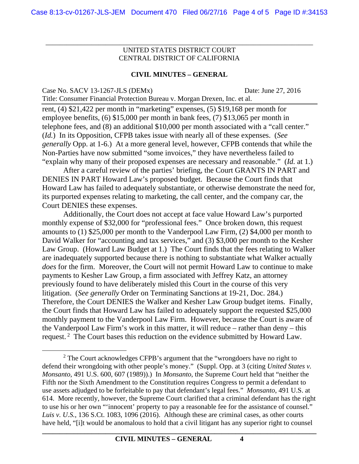\_\_\_\_\_\_\_\_\_\_\_\_\_\_\_\_\_\_\_\_\_\_\_\_\_\_\_\_\_\_\_\_\_\_\_\_\_\_\_\_\_\_\_\_\_\_\_\_\_\_\_\_\_\_\_\_\_\_\_\_\_\_\_\_\_\_\_\_\_\_\_\_\_\_\_\_

### **CIVIL MINUTES – GENERAL**

| Case No. SACV 13-1267-JLS (DEMx)                                          | Date: June 27, 2016 |
|---------------------------------------------------------------------------|---------------------|
| Title: Consumer Financial Protection Bureau v. Morgan Drexen, Inc. et al. |                     |

rent, (4) \$21,422 per month in "marketing" expenses, (5) \$19,168 per month for employee benefits, (6) \$15,000 per month in bank fees, (7) \$13,065 per month in telephone fees, and (8) an additional \$10,000 per month associated with a "call center." (*Id.*) In its Opposition, CFPB takes issue with nearly all of these expenses. (*See generally* Opp. at 1-6.) At a more general level, however, CFPB contends that while the Non-Parties have now submitted "some invoices," they have nevertheless failed to "explain why many of their proposed expenses are necessary and reasonable." (*Id.* at 1.)

 After a careful review of the parties' briefing, the Court GRANTS IN PART and DENIES IN PART Howard Law's proposed budget. Because the Court finds that Howard Law has failed to adequately substantiate, or otherwise demonstrate the need for, its purported expenses relating to marketing, the call center, and the company car, the Court DENIES these expenses.

Additionally, the Court does not accept at face value Howard Law's purported monthly expense of \$32,000 for "professional fees." Once broken down, this request amounts to (1) \$25,000 per month to the Vanderpool Law Firm, (2) \$4,000 per month to David Walker for "accounting and tax services," and (3) \$3,000 per month to the Kesher Law Group. (Howard Law Budget at 1.) The Court finds that the fees relating to Walker are inadequately supported because there is nothing to substantiate what Walker actually *does* for the firm. Moreover, the Court will not permit Howard Law to continue to make payments to Kesher Law Group, a firm associated with Jeffrey Katz, an attorney previously found to have deliberately misled this Court in the course of this very litigation. (*See generally* Order on Terminating Sanctions at 19-21, Doc. 284.) Therefore, the Court DENIES the Walker and Kesher Law Group budget items. Finally, the Court finds that Howard Law has failed to adequately support the requested \$25,000 monthly payment to the Vanderpool Law Firm. However, because the Court is aware of the Vanderpool Law Firm's work in this matter, it will reduce – rather than deny – this request. 2 The Court bases this reduction on the evidence submitted by Howard Law.

 $\overline{\phantom{a}}$  2  $2$  The Court acknowledges CFPB's argument that the "wrongdoers have no right to defend their wrongdoing with other people's money." (Suppl. Opp. at 3 (citing *United States v. Monsanto*, 491 U.S. 600, 607 (1989)).) In *Monsanto*, the Supreme Court held that "neither the Fifth nor the Sixth Amendment to the Constitution requires Congress to permit a defendant to use assets adjudged to be forfeitable to pay that defendant's legal fees." *Monsanto*, 491 U.S. at 614. More recently, however, the Supreme Court clarified that a criminal defendant has the right to use his or her own "'innocent' property to pay a reasonable fee for the assistance of counsel." *Luis v. U.S.*, 136 S.Ct. 1083, 1096 (2016). Although these are criminal cases, as other courts have held, "[i]t would be anomalous to hold that a civil litigant has any superior right to counsel